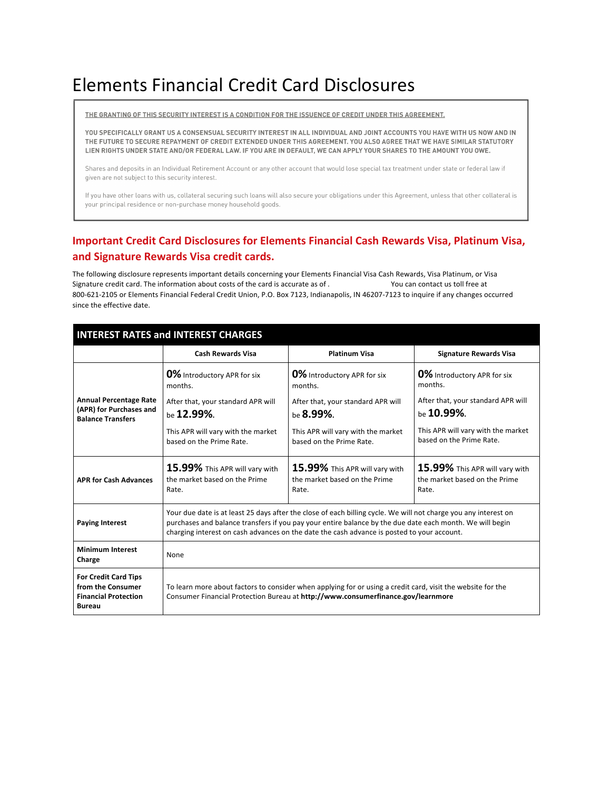# Elements Financial Credit Card Disclosures

THE GRANTING OF THIS SECURITY INTEREST IS A CONDITION FOR THE ISSUENCE OF CREDIT UNDER THIS AGREEMENT.

YOU SPECIFICALLY GRANT US A CONSENSUAL SECURITY INTEREST IN ALL INDIVIDUAL AND JOINT ACCOUNTS YOU HAVE WITH US NOW AND IN THE FUTURE TO SECURE REPAYMENT OF CREDIT EXTENDED UNDER THIS AGREEMENT. YOU ALSO AGREE THAT WE HAVE SIMILAR STATUTORY LIEN RIGHTS UNDER STATE AND/OR FEDERAL LAW. IF YOU ARE IN DEFAULT, WE CAN APPLY YOUR SHARES TO THE AMOUNT YOU OWE.

Shares and deposits in an Individual Retirement Account or any other account that would lose special tax treatment under state or federal law if given are not subject to this security interest.

If you have other loans with us, collateral securing such loans will also secure your obligations under this Agreement, unless that other collateral is your principal residence or non-purchase money household goods.

## **Important Credit Card Disclosures for Elements Financial Cash Rewards Visa, Platinum Visa, and Signature Rewards Visa credit cards.**

The following disclosure represents important details concerning your Elements Financial Visa Cash Rewards, Visa Platinum, or Visa Signature credit card. The information about costs of the card is accurate as of **EVØ**<br>
You can contact us toll free at 800-621-2105 or Elements Financial Federal Credit Union, P.O. Box 7123, Indianapolis, IN 46207-7123 to inquire if any changes occurred since the effective date.

| <b>INTEREST RATES and INTEREST CHARGES</b>                                                       |                                                                                                                                                                                                                                                                                                                           |                                                                          |                                                                          |
|--------------------------------------------------------------------------------------------------|---------------------------------------------------------------------------------------------------------------------------------------------------------------------------------------------------------------------------------------------------------------------------------------------------------------------------|--------------------------------------------------------------------------|--------------------------------------------------------------------------|
|                                                                                                  | <b>Cash Rewards Visa</b>                                                                                                                                                                                                                                                                                                  | <b>Platinum Visa</b>                                                     | <b>Signature Rewards Visa</b>                                            |
| <b>Annual Percentage Rate</b><br>(APR) for Purchases and<br><b>Balance Transfers</b>             | <b>0%</b> Introductory APR for six<br>months.                                                                                                                                                                                                                                                                             | 0% Introductory APR for six<br>months.                                   | <b>0%</b> Introductory APR for six?<br>months.                           |
|                                                                                                  | After that, your standard APR will<br>be 12.99%.                                                                                                                                                                                                                                                                          | After that, your standard APR will<br>be $8.99\%$ .                      | After that, your standard APR will<br>be $10.99\%$ .                     |
|                                                                                                  | This APR will vary with the market<br>based on the Prime Rate.                                                                                                                                                                                                                                                            | This APR will vary with the market<br>based on the Prime Rate.           | This APR will vary with the market<br>based on the Prime Rate.           |
| <b>APR for Cash Advances</b>                                                                     | 15.99% This APR will vary with<br>the market based on the Prime<br>Rate.                                                                                                                                                                                                                                                  | 15.99% This APR will vary with<br>the market based on the Prime<br>Rate. | 15.99% This APR will vary with<br>the market based on the Prime<br>Rate. |
| <b>Paying Interest</b>                                                                           | Your due date is at least 25 days after the close of each billing cycle. We will not charge you any interest on<br>purchases and balance transfers if you pay your entire balance by the due date each month. We will begin<br>charging interest on cash advances on the date the cash advance is posted to your account. |                                                                          |                                                                          |
| <b>Minimum Interest</b><br>Charge                                                                | None                                                                                                                                                                                                                                                                                                                      |                                                                          |                                                                          |
| <b>For Credit Card Tips</b><br>from the Consumer<br><b>Financial Protection</b><br><b>Bureau</b> | To learn more about factors to consider when applying for or using a credit card, visit the website for the<br>Consumer Financial Protection Bureau at http://www.consumerfinance.gov/learnmore                                                                                                                           |                                                                          |                                                                          |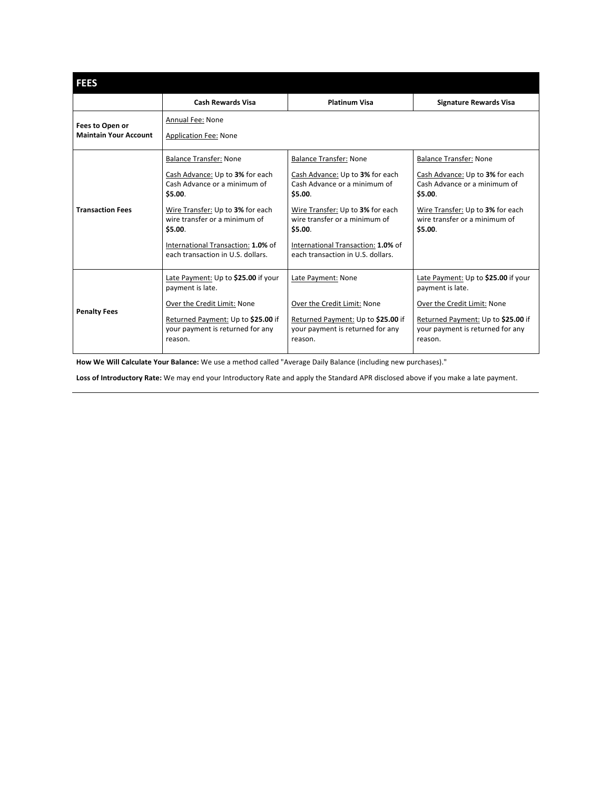| <b>FEES</b>                                     |                                                                                                                                                                                                                                                                        |                                                                                                                                                                                                                                                                        |                                                                                                                                                                                             |
|-------------------------------------------------|------------------------------------------------------------------------------------------------------------------------------------------------------------------------------------------------------------------------------------------------------------------------|------------------------------------------------------------------------------------------------------------------------------------------------------------------------------------------------------------------------------------------------------------------------|---------------------------------------------------------------------------------------------------------------------------------------------------------------------------------------------|
|                                                 | <b>Cash Rewards Visa</b>                                                                                                                                                                                                                                               | <b>Platinum Visa</b>                                                                                                                                                                                                                                                   | <b>Signature Rewards Visa</b>                                                                                                                                                               |
| Fees to Open or<br><b>Maintain Your Account</b> | Annual Fee: None<br><b>Application Fee: None</b>                                                                                                                                                                                                                       |                                                                                                                                                                                                                                                                        |                                                                                                                                                                                             |
| <b>Transaction Fees</b>                         | <b>Balance Transfer: None</b><br>Cash Advance: Up to 3% for each<br>Cash Advance or a minimum of<br>\$5.00.<br>Wire Transfer: Up to 3% for each<br>wire transfer or a minimum of<br>\$5.00.<br>International Transaction: 1.0% of<br>each transaction in U.S. dollars. | <b>Balance Transfer: None</b><br>Cash Advance: Up to 3% for each<br>Cash Advance or a minimum of<br>\$5.00.<br>Wire Transfer: Up to 3% for each<br>wire transfer or a minimum of<br>\$5.00.<br>International Transaction: 1.0% of<br>each transaction in U.S. dollars. | <b>Balance Transfer: None</b><br>Cash Advance: Up to 3% for each<br>Cash Advance or a minimum of<br>\$5.00.<br>Wire Transfer: Up to 3% for each<br>wire transfer or a minimum of<br>\$5.00. |
| <b>Penalty Fees</b>                             | Late Payment: Up to \$25.00 if your<br>payment is late.<br>Over the Credit Limit: None<br>Returned Payment: Up to \$25.00 if<br>your payment is returned for any<br>reason.                                                                                            | Late Payment: None<br>Over the Credit Limit: None<br>Returned Payment: Up to \$25.00 if<br>your payment is returned for any<br>reason.                                                                                                                                 | Late Payment: Up to \$25.00 if your<br>payment is late.<br>Over the Credit Limit: None<br>Returned Payment: Up to \$25.00 if<br>your payment is returned for any<br>reason.                 |

**How We Will Calculate Your Balance:** We use a method called "Average Daily Balance (including new purchases)."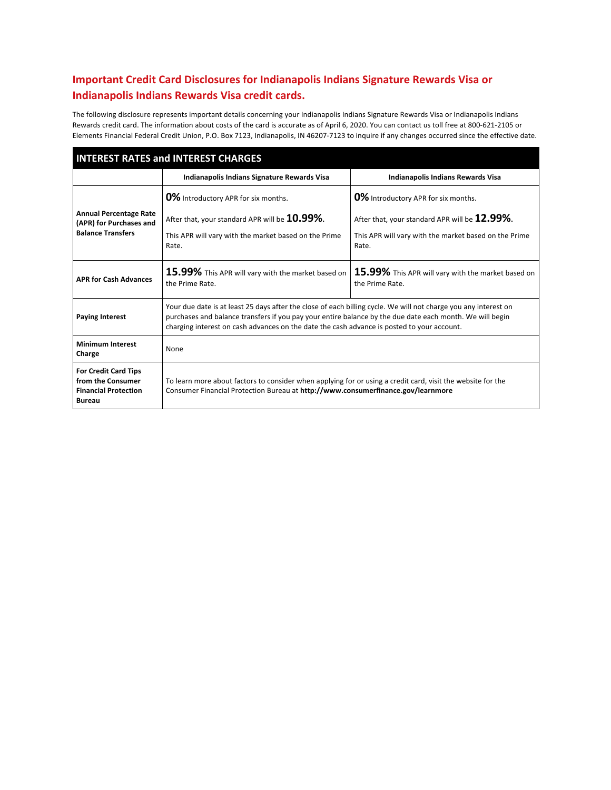# **Important Credit Card Disclosures for Indianapolis Indians Signature Rewards Visa or Indianapolis Indians Rewards Visa credit cards.**

The following disclosure represents important details concerning your Indianapolis Indians Signature Rewards Visa or Indianapolis Indians Rewards credit card. The information about costs of the card is accurate as of April 6, 2020. You can contact us toll free at 800-621-2105 or Elements Financial Federal Credit Union, P.O. Box 7123, Indianapolis, IN 46207-7123 to inquire if any changes occurred since the effective date.

| <b>INTEREST RATES and INTEREST CHARGES</b>                                                       |                                                                                                                                                                                                                                                                                                                           |                                                                                                                                                               |
|--------------------------------------------------------------------------------------------------|---------------------------------------------------------------------------------------------------------------------------------------------------------------------------------------------------------------------------------------------------------------------------------------------------------------------------|---------------------------------------------------------------------------------------------------------------------------------------------------------------|
|                                                                                                  | Indianapolis Indians Signature Rewards Visa                                                                                                                                                                                                                                                                               | <b>Indianapolis Indians Rewards Visa</b>                                                                                                                      |
| <b>Annual Percentage Rate</b><br>(APR) for Purchases and<br><b>Balance Transfers</b>             | <b>0%</b> Introductory APR for six months.<br>After that, your standard APR will be 10.99%.<br>This APR will vary with the market based on the Prime<br>Rate.                                                                                                                                                             | <b>0%</b> Introductory APR for six months.<br>After that, your standard APR will be 12.99%.<br>This APR will vary with the market based on the Prime<br>Rate. |
| <b>APR for Cash Advances</b>                                                                     | 15.99% This APR will vary with the market based on<br>the Prime Rate.                                                                                                                                                                                                                                                     | 15.99% This APR will vary with the market based on<br>the Prime Rate.                                                                                         |
| <b>Paying Interest</b>                                                                           | Your due date is at least 25 days after the close of each billing cycle. We will not charge you any interest on<br>purchases and balance transfers if you pay your entire balance by the due date each month. We will begin<br>charging interest on cash advances on the date the cash advance is posted to your account. |                                                                                                                                                               |
| <b>Minimum Interest</b><br>Charge                                                                | None                                                                                                                                                                                                                                                                                                                      |                                                                                                                                                               |
| <b>For Credit Card Tips</b><br>from the Consumer<br><b>Financial Protection</b><br><b>Bureau</b> | To learn more about factors to consider when applying for or using a credit card, visit the website for the<br>Consumer Financial Protection Bureau at http://www.consumerfinance.gov/learnmore                                                                                                                           |                                                                                                                                                               |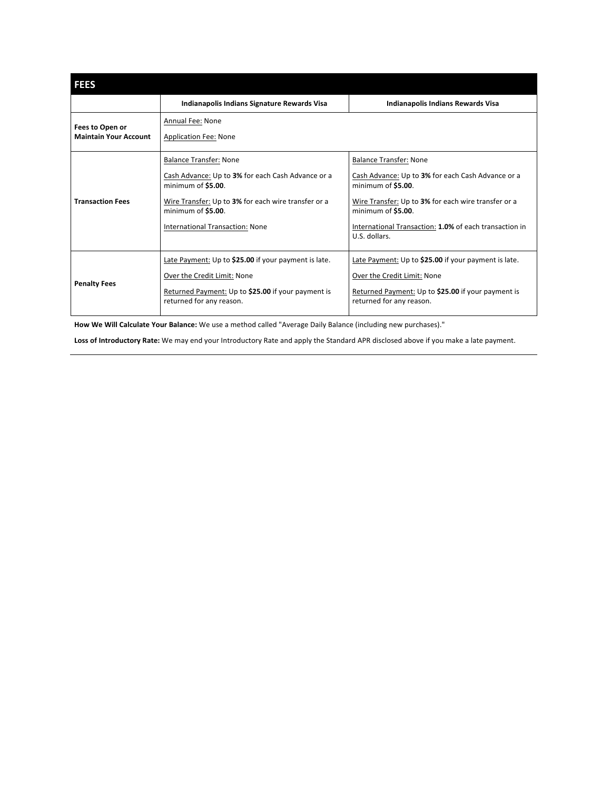| <b>FEES</b>                                     |                                                                                                                                                                                                                                 |                                                                                                                                                                                                                                                                  |
|-------------------------------------------------|---------------------------------------------------------------------------------------------------------------------------------------------------------------------------------------------------------------------------------|------------------------------------------------------------------------------------------------------------------------------------------------------------------------------------------------------------------------------------------------------------------|
|                                                 | Indianapolis Indians Signature Rewards Visa                                                                                                                                                                                     | Indianapolis Indians Rewards Visa                                                                                                                                                                                                                                |
| Fees to Open or<br><b>Maintain Your Account</b> | Annual Fee: None<br><b>Application Fee: None</b>                                                                                                                                                                                |                                                                                                                                                                                                                                                                  |
| <b>Transaction Fees</b>                         | <b>Balance Transfer: None</b><br>Cash Advance: Up to 3% for each Cash Advance or a<br>minimum of \$5.00.<br>Wire Transfer: Up to 3% for each wire transfer or a<br>minimum of \$5.00.<br><b>International Transaction: None</b> | <b>Balance Transfer: None</b><br>Cash Advance: Up to 3% for each Cash Advance or a<br>minimum of \$5.00.<br>Wire Transfer: Up to 3% for each wire transfer or a<br>minimum of \$5.00.<br>International Transaction: 1.0% of each transaction in<br>U.S. dollars. |
| <b>Penalty Fees</b>                             | Late Payment: Up to \$25.00 if your payment is late.<br>Over the Credit Limit: None<br>Returned Payment: Up to \$25.00 if your payment is<br>returned for any reason.                                                           | Late Payment: Up to \$25.00 if your payment is late.<br>Over the Credit Limit: None<br>Returned Payment: Up to \$25.00 if your payment is<br>returned for any reason.                                                                                            |

**How We Will Calculate Your Balance:** We use a method called "Average Daily Balance (including new purchases)."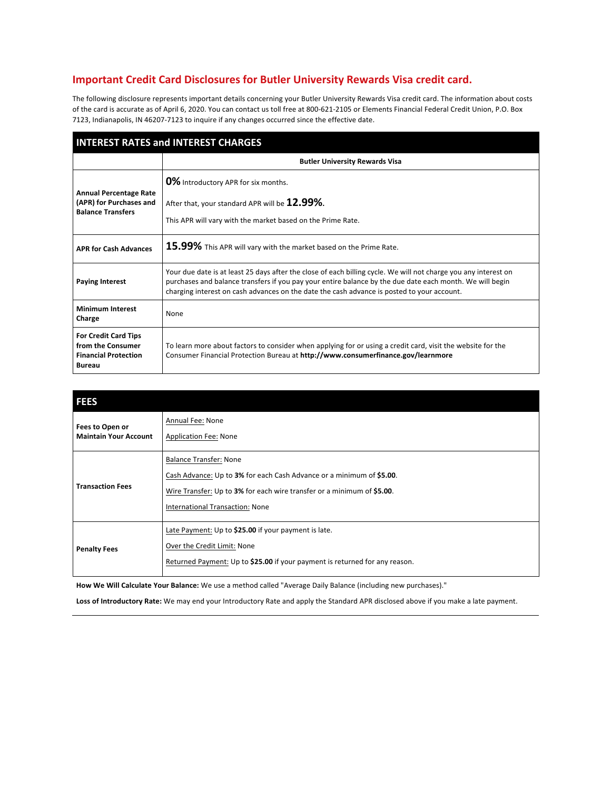#### **Important Credit Card Disclosures for Butler University Rewards Visa credit card.**

The following disclosure represents important details concerning your Butler University Rewards Visa credit card. The information about costs of the card is accurate as of April 6, 2020. You can contact us toll free at 800-621-2105 or Elements Financial Federal Credit Union, P.O. Box 7123, Indianapolis, IN 46207-7123 to inquire if any changes occurred since the effective date.

| <b>INTEREST RATES and INTEREST CHARGES</b>                                                       |                                                                                                                                                                                                                                                                                                                           |  |
|--------------------------------------------------------------------------------------------------|---------------------------------------------------------------------------------------------------------------------------------------------------------------------------------------------------------------------------------------------------------------------------------------------------------------------------|--|
|                                                                                                  | <b>Butler University Rewards Visa</b>                                                                                                                                                                                                                                                                                     |  |
| <b>Annual Percentage Rate</b><br>(APR) for Purchases and<br><b>Balance Transfers</b>             | <b>0%</b> Introductory APR for six months.<br>After that, your standard APR will be 12.99%.<br>This APR will vary with the market based on the Prime Rate.                                                                                                                                                                |  |
| <b>APR for Cash Advances</b>                                                                     | 15.99% This APR will vary with the market based on the Prime Rate.                                                                                                                                                                                                                                                        |  |
| <b>Paying Interest</b>                                                                           | Your due date is at least 25 days after the close of each billing cycle. We will not charge you any interest on<br>purchases and balance transfers if you pay your entire balance by the due date each month. We will begin<br>charging interest on cash advances on the date the cash advance is posted to your account. |  |
| <b>Minimum Interest</b><br>Charge                                                                | None                                                                                                                                                                                                                                                                                                                      |  |
| <b>For Credit Card Tips</b><br>from the Consumer<br><b>Financial Protection</b><br><b>Bureau</b> | To learn more about factors to consider when applying for or using a credit card, visit the website for the<br>Consumer Financial Protection Bureau at http://www.consumerfinance.gov/learnmore                                                                                                                           |  |

| <b>FEES</b>                                     |                                                                                                                                                                                                                           |
|-------------------------------------------------|---------------------------------------------------------------------------------------------------------------------------------------------------------------------------------------------------------------------------|
| Fees to Open or<br><b>Maintain Your Account</b> | Annual Fee: None<br><b>Application Fee: None</b>                                                                                                                                                                          |
| <b>Transaction Fees</b>                         | <b>Balance Transfer: None</b><br>Cash Advance: Up to 3% for each Cash Advance or a minimum of \$5.00.<br>Wire Transfer: Up to 3% for each wire transfer or a minimum of \$5.00.<br><b>International Transaction: None</b> |
| <b>Penalty Fees</b>                             | Late Payment: Up to \$25.00 if your payment is late.<br>Over the Credit Limit: None<br>Returned Payment: Up to \$25.00 if your payment is returned for any reason.                                                        |

**How We Will Calculate Your Balance:** We use a method called "Average Daily Balance (including new purchases)."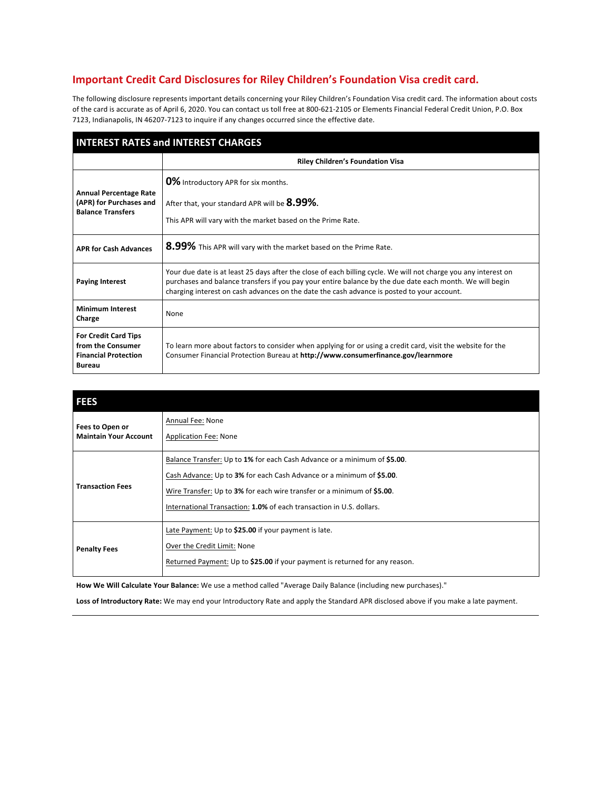### **Important Credit Card Disclosures for Riley Children's Foundation Visa credit card.**

The following disclosure represents important details concerning your Riley Children's Foundation Visa credit card. The information about costs of the card is accurate as of April 6, 2020. You can contact us toll free at 800-621-2105 or Elements Financial Federal Credit Union, P.O. Box 7123, Indianapolis, IN 46207-7123 to inquire if any changes occurred since the effective date.

| <b>INTEREST RATES and INTEREST CHARGES</b>                                                       |                                                                                                                                                                                                                                                                                                                           |  |
|--------------------------------------------------------------------------------------------------|---------------------------------------------------------------------------------------------------------------------------------------------------------------------------------------------------------------------------------------------------------------------------------------------------------------------------|--|
|                                                                                                  | <b>Riley Children's Foundation Visa</b>                                                                                                                                                                                                                                                                                   |  |
| <b>Annual Percentage Rate</b><br>(APR) for Purchases and<br><b>Balance Transfers</b>             | <b>0%</b> Introductory APR for six months.<br>After that, your standard APR will be 8.99%.<br>This APR will vary with the market based on the Prime Rate.                                                                                                                                                                 |  |
| <b>APR for Cash Advances</b>                                                                     | 8.99% This APR will vary with the market based on the Prime Rate.                                                                                                                                                                                                                                                         |  |
| <b>Paying Interest</b>                                                                           | Your due date is at least 25 days after the close of each billing cycle. We will not charge you any interest on<br>purchases and balance transfers if you pay your entire balance by the due date each month. We will begin<br>charging interest on cash advances on the date the cash advance is posted to your account. |  |
| <b>Minimum Interest</b><br>Charge                                                                | None                                                                                                                                                                                                                                                                                                                      |  |
| <b>For Credit Card Tips</b><br>from the Consumer<br><b>Financial Protection</b><br><b>Bureau</b> | To learn more about factors to consider when applying for or using a credit card, visit the website for the<br>Consumer Financial Protection Bureau at http://www.consumerfinance.gov/learnmore                                                                                                                           |  |

| <b>FEES</b>                                     |                                                                                                                                                                                                                                                                                                    |
|-------------------------------------------------|----------------------------------------------------------------------------------------------------------------------------------------------------------------------------------------------------------------------------------------------------------------------------------------------------|
| Fees to Open or<br><b>Maintain Your Account</b> | Annual Fee: None<br>Application Fee: None                                                                                                                                                                                                                                                          |
| <b>Transaction Fees</b>                         | Balance Transfer: Up to 1% for each Cash Advance or a minimum of \$5.00.<br>Cash Advance: Up to 3% for each Cash Advance or a minimum of \$5.00.<br>Wire Transfer: Up to 3% for each wire transfer or a minimum of \$5.00.<br>International Transaction: 1.0% of each transaction in U.S. dollars. |
| <b>Penalty Fees</b>                             | Late Payment: Up to \$25.00 if your payment is late.<br>Over the Credit Limit: None<br>Returned Payment: Up to \$25.00 if your payment is returned for any reason.                                                                                                                                 |

**How We Will Calculate Your Balance:** We use a method called "Average Daily Balance (including new purchases)."